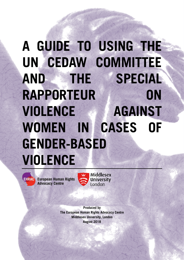# **A GUIDE TO USING THE UN CEDAW COMMITTEE AND THE SPECIAL RAPPORTEUR ON VIOLENCE AGAINST WOMEN IN CASES OF GENDER-BASED VIOLENCE**

**EHRAC** European Human Rights **Advocacy Centre** 



Middlesex **University** London

**Produced by The European Human Rights Advocacy Centre Middlesex University, London August 2018**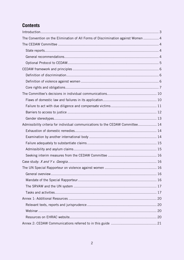## **Contents**

| The Convention on the Elimination of All Forms of Discrimination against Women  4 |  |
|-----------------------------------------------------------------------------------|--|
|                                                                                   |  |
|                                                                                   |  |
|                                                                                   |  |
|                                                                                   |  |
|                                                                                   |  |
|                                                                                   |  |
|                                                                                   |  |
|                                                                                   |  |
|                                                                                   |  |
|                                                                                   |  |
|                                                                                   |  |
|                                                                                   |  |
|                                                                                   |  |
| Admissibility criteria for individual communications to the CEDAW Committee 14    |  |
|                                                                                   |  |
|                                                                                   |  |
|                                                                                   |  |
|                                                                                   |  |
|                                                                                   |  |
|                                                                                   |  |
|                                                                                   |  |
|                                                                                   |  |
|                                                                                   |  |
|                                                                                   |  |
|                                                                                   |  |
|                                                                                   |  |
|                                                                                   |  |
|                                                                                   |  |
|                                                                                   |  |
|                                                                                   |  |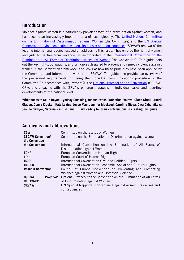## <span id="page-2-0"></span>**Introduction**

Violence against women is a particularly prevalent form of discrimination against women, and has become an increasingly important area of focus globally. The [United Nations Committee](https://www.ohchr.org/en/HRBodies/CEDAW/Pages/CEDAWIndex.aspx)  [on the Elimination of Discrimination against Women](https://www.ohchr.org/en/HRBodies/CEDAW/Pages/CEDAWIndex.aspx) (the Committee) and the [UN Special](https://www.ohchr.org/EN/Issues/Women/SRWomen/Pages/SRWomenIndex.aspx)  [Rapporteur on violence against women, its causes and consequences](https://www.ohchr.org/EN/Issues/Women/SRWomen/Pages/SRWomenIndex.aspx) (SRVAW) are two of the leading international bodies focused on addressing this issue. They enforce the right of women and girls to be free from violence, as incorporated in the [International Convention on the](https://www.ohchr.org/EN/ProfessionalInterest/Pages/CEDAW.aspx)  [Elimination of All Forms of Discrimination against Women](https://www.ohchr.org/EN/ProfessionalInterest/Pages/CEDAW.aspx) (the Convention). This guide sets out the key rights, obligations, and principles designed to prevent and remedy violence against women in the Convention framework; and looks at how these principles have been applied by the Committee and informed the work of the SRVAW. The guide also provides an overview of the procedural requirements for using the individual communications procedure of the Committee (in accordance with, inter alia, the [Optional Protocol to the Convention](https://www.ohchr.org/EN/ProfessionalInterest/Pages/OPCEDAW.aspx) (CEDAW-OP)), and engaging with the SRVAW on urgent appeals in individual cases and reporting developments at the national level.

**With thanks to Celia Boyon, Lyndsay Cumming, Joanna Evans, Valentina Frolova, Giada Girelli, Andrii Gladun, Conny Klocker, Kate Levine, Joyce Man, Jennifer MacLeod, Caroline Njoya, Olga Okhotnikova, Joanne Sawyer, Sabrina Vashisht and Hillary Vedvig for their contributions to creating this guide.**

### **Acronyms and abbreviations**

| <b>CSW</b><br><b>CEDAW Committee/</b><br>the Committee | Committee on the Status of Women<br>Committee on the Elimination of Discrimination against Women         |  |  |  |  |
|--------------------------------------------------------|----------------------------------------------------------------------------------------------------------|--|--|--|--|
| the Convention                                         | International Convention on the Elimination of All Forms of<br>Discrimination against Women              |  |  |  |  |
| <b>ECHR</b>                                            | European Convention on Human Rights                                                                      |  |  |  |  |
| <b>ECtHR</b>                                           | European Court of Human Rights                                                                           |  |  |  |  |
| <b>ICCPR</b>                                           | International Covenant on Civil and Political Rights                                                     |  |  |  |  |
| <b>ICESCR</b>                                          | International Covenant on Economic, Social and Cultural Rights                                           |  |  |  |  |
| <b>Istanbul Convention</b>                             | Council of Europe Convention on Preventing and Combating<br>Violence against Women and Domestic Violence |  |  |  |  |
| <b>Optional</b><br>Protocol/                           | Optional Protocol to the Convention on the Elimination of All Forms                                      |  |  |  |  |
| <b>CEDAW-OP</b>                                        | of Discrimination against Women                                                                          |  |  |  |  |
| <b>SRVAW</b>                                           | UN Special Rapporteur on violence against women, its causes and<br>consequences                          |  |  |  |  |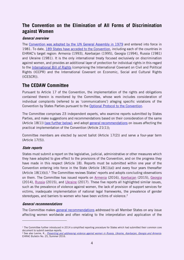## <span id="page-3-0"></span>**The Convention on the Elimination of All Forms of Discrimination against Women**

#### **General overview**

The Convention was adopted by the [UN General Assembly in 1979](https://www.ohchr.org/EN/ProfessionalInterest/Pages/CEDAW.aspx) and entered into force in 1981. To date, 189 States [have acceded to the Convention,](http://indicators.ohchr.org/) including each of the countries in EHRAC's target region: Armenia (1993), Azerbaijan (1995), Georgia (1994), Russia (1981) and Ukraine (1981). It is the only international treaty focused exclusively on discrimination against women, and provides an additional layer of protection for individual rights in this regard to the [International Bill of Rights](https://www.ohchr.org/documents/publications/compilation1.1en.pdf) (comprising the International Covenant on Civil and Political Rights (ICCPR) and the International Covenant on Economic, Social and Cultural Rights (ICESCR)).

## <span id="page-3-1"></span>**The CEDAW Committee**

Pursuant to Article 17 of the Convention, the implementation of the rights and obligations contained therein is monitored by the Committee, whose work includes consideration of individual complaints (referred to as 'communications') alleging specific violations of the Convention by States Parties pursuant to the Optional Protocol [to the Convention.](https://www.ohchr.org/EN/ProfessionalInterest/Pages/OPCEDAW.aspx)

The Committee comprises 23 independent experts, who examine reports submitted by States Parties, and make suggestions and recommendations based on their consideration of the same (Article 18(1)) [\(see further below\);](#page-3-1) and adopt [general recommendations](https://www.ohchr.org/EN/HRBodies/CEDAW/Pages/Recommendations.aspx) on issues affecting the practical implementation of the Convention (Article 21(1));

Committee members are elected by secret ballot (Article 17(2)) and serve a four-year term (Article 17(5)).

#### <span id="page-3-2"></span>**State reports**

States must submit a report on the legislative, judicial, administrative or other measures which they have adopted to give effect to the provisions of the Convention, and on the progress they have made in this respect (Article 18). Reports must be submitted within one year of the Convention entering into force in the State (Article 18(1)(a)) and every four years thereafter  $(A$ rticle  $18(1)(b)$  $18(1)(b)$ ).<sup>1</sup> The Committee reviews States' reports and adopts concluding observations on them. The Committee has issued reports on [Armenia](https://tbinternet.ohchr.org/_layouts/treatybodyexternal/Download.aspx?symbolno=CEDAW%2fC%2fARM%2fCO%2f5-6&Lang=en) (2016), [Azerbaijan](https://tbinternet.ohchr.org/_layouts/treatybodyexternal/Download.aspx?symbolno=CEDAW%2fC%2fAZE%2fCO%2f5&Lang=en) (2015), [Georgia](https://tbinternet.ohchr.org/_layouts/treatybodyexternal/Download.aspx?symbolno=CEDAW%2fC%2fGEO%2fCO%2f4-5&Lang=en) (2014), [Russia](https://tbinternet.ohchr.org/_layouts/treatybodyexternal/Download.aspx?symbolno=CEDAW%2fC%2fRUS%2fCO%2f8&Lang=en) (2015), and [Ukraine](https://tbinternet.ohchr.org/_layouts/treatybodyexternal/Download.aspx?symbolno=CEDAW%2fC%2fUKR%2fCO%2f8&Lang=en) (2017). These five reports all highlighted similar issues, such as the prevalence of violence against women, the lack of provision of support services for victims, inadequate implementation of national legal frameworks, the prevalence of gender stereotypes, and barriers to women who have been victims of violence.<sup>[2](#page-3-5)</sup>

#### <span id="page-3-3"></span>**General recommendations**

-

The Committee makes [general recommendations](https://www.ohchr.org/EN/HRBodies/CEDAW/Pages/Recommendations.aspx) addressed to all Member States on any issue affecting women worldwide and often relating to the interpretation and application of the

<span id="page-3-4"></span><sup>&</sup>lt;sup>1</sup> The Committee further introduced in 2014 a simplified reporting procedure for States which had submitted their common core document to submit overdue reports.

<span id="page-3-5"></span><sup>&</sup>lt;sup>2</sup> See also Levine, K., *[Preventing and addressing violence against women in Russia, Ukraine, Azerbaijan, Georgia and Armenia](http://ehrac.org.uk/8fhgn).* EHRAC Bulletin No. 25, Summer 2016.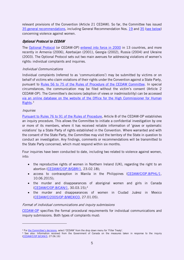relevant provisions of the Convention (Article 21 CEDAW). So far, the Committee has issued 35 [general recommendations,](https://www.ohchr.org/EN/HRBodies/CEDAW/Pages/Recommendations.aspx) including General Recommendation Nos. [19](http://tbinternet.ohchr.org/_layouts/treatybodyexternal/Download.aspx?symbolno=INT/CEDAW/GEC/3731&Lang=en) and [35](http://tbinternet.ohchr.org/_layouts/treatybodyexternal/Download.aspx?symbolno=CEDAW/C/GC/35&Lang=en) [\(see below\)](#page-5-0) concerning violence against women.

#### <span id="page-4-0"></span>**Optional Protocol to CEDAW**

The [Optional Protocol](https://www.ohchr.org/EN/ProfessionalInterest/Pages/OPCEDAW.aspx) (or CEDAW-OP) [entered into force in 2000](http://indicators.ohchr.org/) in 13 countries, and more recently in Armenia (2006), Azerbaijan (2001), Georgia (2002), Russia (2004) and Ukraine (2003). The Optional Protocol sets out two main avenues for addressing violations of women's rights: individual complaints and inquiries.

#### Individual Communications

Individual complaints (referred to as 'communications') may be submitted by victims or on behalf of victims who claim violations of their rights under the Convention against a State Party, pursuant to [Rules 56 to 75 of the Rules of Procedure of the CEDAW Committee.](https://www2.ohchr.org/english/bodies/cedaw/docs/CEDAW_Rules_en.pdf#page=21) In special circumstances, the communication may be filed without the victim's consent (Article 2 CEDAW-OP). The Committee's decisions (adoption of views or inadmissibility) can be accessed [via an online database on the website of the Office for the High Commissioner for Human](http://juris.ohchr.org/en/search/results?Bodies=3&sortOrder=Date)  [Rights.](http://juris.ohchr.org/en/search/results?Bodies=3&sortOrder=Date)<sup>[3](#page-4-1)</sup>

#### *Inquiries*

-

[Pursuant to Rules 76 to 91 of the Rules of Procedure,](https://www2.ohchr.org/english/bodies/cedaw/docs/CEDAW_Rules_en.pdf#page=29) Article 8 of the CEDAW-OP establishes an inquiry procedure. This allows the Committee to initiate a confidential investigation by one or more of its members, where it has received reliable information of 'grave or systematic violations' by a State Party of rights established in the Convention. Where warranted and with the consent of the State Party, the Committee may visit the territory of the State in question to conduct an investigation. Any findings, comments or recommendations will be transmitted to the State Party concerned, which must respond within six months.

Four inquiries have been conducted to date, including two related to violence against women, into:

- the reproductive rights of women in Northern Ireland (UK), regarding the right to an abortion [\(CEDAW/C/OP.8/GBR/1,](https://tbinternet.ohchr.org/Treaties/CEDAW/Shared%20Documents/GBR/INT_CEDAW_ITB_GBR_8637_E.pdf) 23.02.18);
- access to contraception in Manila in the Philippines [\(CEDAW/C/OP.8/PHL/1,](https://tbinternet.ohchr.org/_layouts/treatybodyexternal/Download.aspx?symbolno=CEDAW%2fC%2fOP.8%2fPHL%2f1&Lang=en) 10.06.2015);
- the murder and disappearances of aboriginal women and girls in Canada [\(CEDAW/C/OP.8/CAN/1,](https://tbinternet.ohchr.org/_layouts/treatybodyexternal/Download.aspx?symbolno=CEDAW%2fC%2fOP.8%2fCAN%2f1&Lang=en) 30.03.15);[4](#page-4-2)
- the murder and disappearances of women in Ciudad Juárez in Mexico [\(CEDAW/C/2005/OP.8/MEXICO,](https://tbinternet.ohchr.org/_layouts/treatybodyexternal/Download.aspx?symbolno=CEDAW%2fC%2f2005%2fOP.8%2fMEXICO&Lang=en) 27.01.05).

#### Format of individual communications and inquiry submissions

[CEDAW-OP](https://www.ohchr.org/EN/ProfessionalInterest/Pages/OPCEDAW.aspx) specifies the formal procedural requirements for individual communications and inquiry submissions. Both types of complaints must:

<span id="page-4-1"></span><sup>&</sup>lt;sup>3</sup> For [the Committee's decisions,](http://juris.ohchr.org/en/search/results?Bodies=3&sortOrder=Date) select 'CEDAW' from the drop down menu for 'Filter Treaty'.

<span id="page-4-2"></span><sup>4</sup> See also: Information received from the Government of Canada on the measures taken in response to the inquiry [\(CEDAW/C/OP.8/CAN/3,](https://tbinternet.ohchr.org/_layouts/treatybodyexternal/Download.aspx?symbolno=CEDAW%2fC%2fOP.8%2fCAN%2f3&Lang=en) 27.06.16)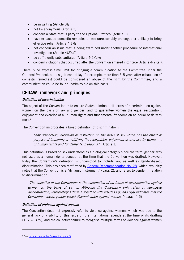- be in writing (Article 3);
- not be anonymous (Article 3);
- concern a State that is party to the Optional Protocol (Article 3);
- have exhausted domestic remedies unless unreasonably prolonged or unlikely to bring effective relief (Article 4(1));
- not concern an issue that is being examined under another procedure of international investigation (Article 4(2)(a));
- be sufficiently substantiated (Article  $4(2)(c)$ );
- concern violations that occurred after the Convention entered into force (Article 4(2)(e)).

There is no express time limit for bringing a communication to the Committee under the Optional Protocol, but a significant delay (for example, more than 3-5 years after exhaustion of domestic remedies) could be considered an abuse of the right by the Committee, and a communication could be found inadmissible on this basis.

## <span id="page-5-0"></span>**CEDAW framework and principles**

#### <span id="page-5-1"></span>**Definition of discrimination**

The object of the Convention is to ensure States eliminate all forms of discrimination against women on the basis of sex and gender, and to guarantee women the equal recognition, enjoyment and exercise of all human rights and fundamental freedoms on an equal basis with men. [5](#page-5-3)

The Convention incorporates a broad definition of discrimination:

"any distinction, exclusion or restriction on the basis of sex which has the effect or purpose of impairing or nullifying the recognition, enjoyment or exercise by women … of human rights and fundamental freedoms". (Article 1)

This definition is based on sex understood as a biological category since the term 'gender' was not used as a human rights concept at the time that the Convention was drafted. However, today the Convention's definition is understood to include sex, as well as gender-based, discrimination. This has been reaffirmed by [General Recommendation No. 28,](https://www2.ohchr.org/english/bodies/cedaw/docs/CEDAW-C-2010-47-GC2.pdf) which explicitly notes that the Convention is a "dynamic instrument" (para. 2), and refers to gender in relation to discrimination:

"The objective of the Convention is the elimination of all forms of discrimination against women on the basis of sex … Although the Convention only refers to sex-based discrimination, interpreting Article 1 together with Articles 2(f) and 5(a) indicates that the Convention covers gender-based discrimination against women." (paras. 4-5)

#### <span id="page-5-2"></span>**Definition of violence against women**

The Convention does not expressly refer to violence against women, which was due to the general lack of visibility of this issue on the international agenda at the time of its drafting (1976-1979), and the collective failure to recognise multiple forms of violence against women

<span id="page-5-3"></span><sup>5</sup> See Introduction [to the Convention, para. 3.](https://www.ohchr.org/EN/ProfessionalInterest/Pages/CEDAW.aspx)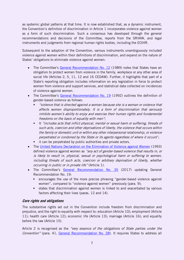as systemic global patterns at that time. It is now established that, as a dynamic instrument, the Convention's definition of discrimination in Article 1 incorporates violence against women as a form of such discrimination. Such a consensus has developed through the general recommendations and decisions of the Committee, reports from the SRVAW, and legal instruments and judgments from regional human rights bodies, including the ECtHR.

Subsequent to the adoption of the Convention, various instruments unambiguously included violence against women within their definitions of discrimination, and expand on the nature of States' obligations to eliminate violence against women:

- The Committee's [General Recommendation](http://tbinternet.ohchr.org/_layouts/treatybodyexternal/Download.aspx?symbolno=INT/CEDAW/GEC/5831&Lang=en) No. 12 (1989) notes that States have an obligation to protect women from violence in the family, workplace or any other area of social life (Articles 2, 5, 11, 12 and 16 CEDAW). Further, it highlights that part of a State's reporting obligation includes information on any legislation in force to protect women from violence and support services, and statistical data collected on incidences of violence against women.
- The Committee's [General Recommendation No.](http://tbinternet.ohchr.org/_layouts/treatybodyexternal/Download.aspx?symbolno=INT/CEDAW/GEC/3731&Lang=en) 19 (1992) outlines the definition of gender-based violence as follows:
	- "violence that is directed against a woman because she is a woman or violence that affects women disproportionately. It is a form of discrimination that seriously inhibits women's ability to enjoy and exercise their human rights and fundamental freedoms on the basis of equality with men";
	- It "includes acts that inflict physical, mental or sexual harm or suffering, threats of such acts, coercion and other deprivations of liberty, the violence that occurs within the family or domestic unit or within any other interpersonal relationship, or violence perpetrated or condoned by the State or its agents regardless of where it occurs";
	- it can be perpetrated by public authorities and private actors.
- The [United Nations Declaration on the Elimination of Violence against Women](http://www.un.org/documents/ga/res/48/a48r104.htm) (1993) defined violence against women as "any act of gender-based violence that results in, or is likely to result in, physical, sexual or psychological harm or suffering to women, including threats of such acts, coercion or arbitrary deprivation of liberty, whether occurring in public or in private life" (Article 1).
- The Committee's [General Recommendation No. 35](http://tbinternet.ohchr.org/_layouts/treatybodyexternal/Download.aspx?symbolno=CEDAW/C/GC/35&Lang=en) (2017) updating General Recommendation No. 19:
	- encourages the use of the more precise phrasing "gender-based violence against women", compared to "violence against women" previously (para. 9);
	- states that discrimination against women is linked to and exacerbated by various factors affecting their lives (paras. 12 and 14).

#### <span id="page-6-0"></span>**Core rights and obligations**

The substantive rights set out in the Convention include freedom from discrimination and prejudice, and the right to equality with respect to: education (Article 10); employment (Article 11); health care (Article 12); economic life (Article 13); marriage (Article 16); and equality before the law (Article 15).

Article 2 is recognised as the "very essence of the obligations of State parties under the Convention" (para. 41, [General Recommendation No. 28\)](http://tbinternet.ohchr.org/_layouts/treatybodyexternal/Download.aspx?symbolno=CEDAW/C/GC/28&Lang=en). It requires States to address all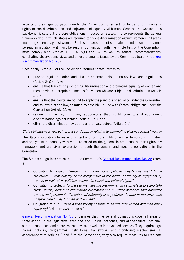aspects of their legal obligations under the Convention to respect, protect and fulfil women's rights to non-discrimination and enjoyment of equality with men. Seen as the Convention's backbone, it sets out the core obligations imposed on States. It also represents the general framework within which States are required to tackle discrimination against women in all areas, including violence against women. Such standards are not standalone, and as such, it cannot be read in isolation – it must be read in conjunction with the whole text of the Convention, most notably with Articles 1, 3, 4, 5(a) and 24, as well as general recommendations, concluding observations, views and other statements issued by the Committee (para. 7, General [Recommendation No. 28\)](http://tbinternet.ohchr.org/_layouts/treatybodyexternal/Download.aspx?symbolno=CEDAW/C/GC/28&Lang=en).

Specifically, Article 2 of the Convention requires States Parties to:

- provide legal protection and abolish or amend discriminatory laws and regulations  $(Article 2(a), (f), (g));$
- ensure that legislation prohibiting discrimination and promoting equality of women and men provides appropriate remedies for women who are subject to discrimination (Article  $2(b)$ :
- ensure that the courts are bound to apply the principle of equality under the Convention and to interpret the law, as much as possible, in line with States' obligations under the Convention (Article 2(c));
- refrain from engaging in any act/practice that would constitute direct/indirect discrimination against women (Article 2(d)); and
- eliminate discrimination by public and private actors (Article 2(e)).

#### State obligations to respect, protect and fulfil in relation to eliminating violence against women

The State's obligations to respect, protect and fulfil the rights of women to non-discrimination and enjoyment of equality with men are based on the general international human rights law framework and are given expression through the general and specific obligations in the Convention.

The State's obligations are set out in the Committee's [General Recommendation No. 28](http://tbinternet.ohchr.org/_layouts/treatybodyexternal/Download.aspx?symbolno=CEDAW/C/GC/28&Lang=en) (para. 9):

- Obligation to respect: "refrain from making laws, policies, regulations, institutional structures … that directly or indirectly result in the denial of the equal enjoyment by women of their civil, political, economic, social and cultural rights";
- Obligation to protect: "*protect women against discrimination by private actors and take* steps directly aimed at eliminating customary and all other practices that prejudice women and perpetuate the notion of inferiority or superiority of either of the sexes, and of stereotyped roles for men and women";
- Obligation to fulfil: "take a wide variety of steps to ensure that women and men enjoy equal rights de jure and de facto".

[General Recommendation No. 35](http://tbinternet.ohchr.org/_layouts/treatybodyexternal/Download.aspx?symbolno=CEDAW/C/GC/35&Lang=en) underlines that the general obligations cover all areas of State action, in the legislative, executive and judicial branches, and at the federal, national, sub-national, local and decentralised levels, as well as in privatised services. They require legal norms, policies, programmes, institutional frameworks, and monitoring mechanisms. In accordance with Articles 2 and 5 of the Convention, they also require measures to eradicate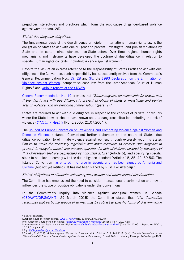prejudices, stereotypes and practices which form the root cause of gender-based violence against women (para. 26).

#### States' due diligence obligations

The fundamental basis of the due diligence principle in international human rights law is the obligation of States to act with due diligence to prevent, investigate, and punish violations by State and, in certain circumstances, non-State actors. Over time, regional human rights mechanisms and instruments have developed the doctrine of due diligence in relation to specific human rights contexts, including violence against women.<sup>[6](#page-8-0)</sup>

Despite the lack of an express reference to the responsibility of States Parties to act with due diligence in the Convention, such responsibility has subsequently evolved from the Committee's General Recommendation Nos. [19,](http://tbinternet.ohchr.org/_layouts/treatybodyexternal/Download.aspx?symbolno=INT/CEDAW/GEC/3731&Lang=en) [28](http://tbinternet.ohchr.org/_layouts/treatybodyexternal/Download.aspx?symbolno=CEDAW/C/GC/28&Lang=en) and [35,](http://tbinternet.ohchr.org/_layouts/treatybodyexternal/Download.aspx?symbolno=CEDAW/C/GC/35&Lang=en) the 1993 Declaration on the Elimination of [Violence against Women,](http://www.un.org/documents/ga/res/48/a48r104.htm) comparative case law from the Inter-American Court of Human Rights,<sup>[7](#page-8-1)</sup> and [various reports of the SRVAW.](#page-17-0)

[General Recommendation No.](http://tbinternet.ohchr.org/_layouts/treatybodyexternal/Download.aspx?symbolno=INT/CEDAW/GEC/3731&Lang=en) 19 provides that "States may also be responsible for private acts if they fail to act with due diligence to prevent violations of rights or investigate and punish acts of violence, and for providing compensation" (para. 9).<sup>[8](#page-8-2)</sup>

States are required to act with due diligence in respect of the conduct of private individuals where the State knew or should have known about a dangerous situation including the risk of violence (*Yildirim [v. Austria](http://juris.ohchr.org/Search/Details/1711)* (No. 6/2005, 21.07.2004)).

The [Council of Europe Convention on Preventing and Combating Violence against Women and](https://rm.coe.int/CoERMPublicCommonSearchServices/DisplayDCTMContent?documentId=090000168046031c)  [Domestic Violence](https://rm.coe.int/CoERMPublicCommonSearchServices/DisplayDCTMContent?documentId=090000168046031c) (Istanbul Convention) further elaborates on the nature of States' due diligence obligation to eliminate violence against women, through expressly requiring States Parties to "take the necessary legislative and other measures to exercise due diligence to prevent, investigate, punish and provide reparation for acts of violence covered by the scope of this Convention that are perpetrated by non-State actors" (Article 5), and specifying specific steps to be taken to comply with the due diligence standard (Articles 18, 35, 49, 50-56). The Istanbul Convention has entered into force in Georgia and has been signed by Armenia and [Ukraine](https://www.coe.int/en/web/conventions/full-list/-/conventions/treaty/210/signatures?desktop=true) (but not yet ratified). It has not been signed by Russia or Azerbaijan.

#### States' obligations to eliminate violence against women and intersectional discrimination

The Committee has emphasised the need to consider intersectional discrimination and how it influences the scope of positive obligations under the Convention:

In the Committee's inquiry into violence against aboriginal women in Canada [\(CEDAW/C/OP.8/CAN/1,](https://tbinternet.ohchr.org/Treaties/CEDAW/Shared%20Documents/CAN/CEDAW_C_OP-8_CAN_1_7643_E.pdf) 29 March 2015) the Committee stated that "the Convention recognizes that particular groups of women may be subject to specific forms of discrimination

<span id="page-8-0"></span><sup>6</sup> See, for example:

European Court of Human Rights: *[Opuz v. Turkey](http://hudoc.echr.coe.int/eng?i=001-92945)* (No. 33401/02, 09.06.09);

Inter-American Court of Human Rights: *[Velasquez Rodriguez v. Honduras](http://www.corteidh.or.cr/docs/casos/articulos/seriec_04_ing.pdf)* (Series C No 4, 29.07.88);

Inter-American Commission on Human Rights: [Maria da Penha Maia Fernandes v. Brazil](http://cidh.org/annualrep/2000eng/ChapterIII/Merits/Brazil12.051.htm) (Case No. 12.051, Report No. 54/01, 16.04.01), para. 56.

<span id="page-8-1"></span><sup>&</sup>lt;sup>7</sup> E.g. *[Velásquez-Rodríguez v. Honduras](http://www.corteidh.or.cr/docs/casos/articulos/seriec_04_ing.pdf)*.

<span id="page-8-2"></span><sup>&</sup>lt;sup>8</sup> Chinkin, C. (2012). Violence against Women, in Freeman, M.A., Chinkin, C. & Rudolf, B. (eds). The UN Convention on the Elimination of All Forms of Discrimination Against Women: A Commentary. Oxford, Oxford University Press, pp.443-474, pp.465f.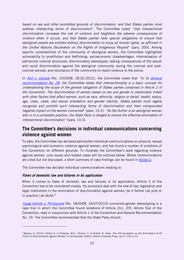based on sex and other prohibited grounds of discrimination, and that States parties must address intersecting forms of discrimination". The Committee noted "that intersectional discrimination increases the risk of violence and heightens the adverse consequences of violence when it occurs, and that States parties have special obligations to ensure that aboriginal people are entitled without discrimination to enjoy all human rights, as affirmed in the United Nations Declaration on the Rights of Indigenous Peoples" (para. 200). Among specific vulnerabilities of the community of aboriginal women, the Committee highlighted vulnerability to prostitution and trafficking; socioeconomic disadvantages; internalisation of patriarchal colonial structures; discriminatory stereotypes; lasting consequences of the sexual and racial discrimination against the aboriginal community during the colonial and postcolonial periods; and reluctance of the community to report violence to the police.

In *[Kell v. Canada](http://juris.ohchr.org/Search/Details/1718)* (No. 19/2008, 28.02.2012), the Committee noted that "in its General [recommendation No. 28,](http://tbinternet.ohchr.org/_layouts/treatybodyexternal/Download.aspx?symbolno=CEDAW/C/GC/28&Lang=en) the Committee states that intersectionality is a basic concept for understanding the scope of the general obligation of States parties contained in Article 2 of the Convention. The discrimination of women based on sex and gender is inextricably linked with other factors that affect women, such as race, ethnicity, religion or belief, health, status, age, class, caste, and sexual orientation and gender identity. States parties must legally recognise and prohibit such intersecting forms of discrimination and their compounded negative impact on the women concerned" (para. 10.2). "As the Author is an aboriginal woman who is in a vulnerable position, the State Party is obliged to ensure the effective elimination of intersectional discrimination" (para. 10.3).

## <span id="page-9-0"></span>**The Committee's decisions in individual communications concerning violence against women**

To date, the Committee has declared admissible individual communications on physical, sexual, psychological and economic violence against women, and has found a number of violations of the Convention on different grounds. To illustrate the Committee's work regarding violence against women, core issues and related cases will be outlined below. Where communications are cited but not discussed, a short summary of case findings can be found in [Annex 2.](#page-20-0)

The Committee has decided individual communications relating to:

#### <span id="page-9-1"></span>**Flaws of domestic law and failures in its application**

-

When it comes to flaws of domestic law and failures in its application, Article 2 of the Convention has to be considered closely. Its provisions deal with the role of law, legislation and legal institutions in the elimination of discrimination against women, be it formal (de jure) or in practice (de facto). $9$ 

Tayag Vertido [v. Philippines](http://juris.ohchr.org/Search/Details/1700) (No. 18/2008, 16/07/2010) concerned gender stereotyping in a rape trial in which the Committee found violations of Article 2(c), 2(f), Article 5(a) of the Convention, read in conjunction with Article 1 of the Convention and General Recommendation No. 19. The Committee recommended that the State Party should:

<sup>&</sup>lt;sup>9</sup> Byrnes, A. (2012). Article 2, in Freeman, M.A., Chinkin, C. & Rudolf, B. (eds). The UN Convention on the Elimination of All Forms of Discrimination Against Women: A Commentary. Oxford, Oxford University Press, pp.71-100, p.73.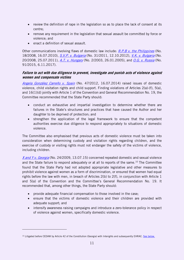- review the definition of rape in the legislation so as to place the lack of consent at its centre;
- remove any requirement in the legislation that sexual assault be committed by force or violence; and
- enact a definition of sexual assault.

Other communications involving flaws of domestic law include: R.P.B v. the [Philippines](http://juris.ohchr.org/Search/Details/1875) (No. 18/2008, 16.07.2010), S.V.P. [v. Bulgaria](http://juris.ohchr.org/Search/Details/1693) (No. 31/2011, 12.10.2012), [V.K. v. Bulgaria](http://juris.ohchr.org/Search/Details/1702) (No. 20/2008, 25.07.2011), A.T. [v. Hungary](http://juris.ohchr.org/Search/Details/1722) (No. 2/2003, 26.01.2005), and O.G. [v. Russia](https://tbinternet.ohchr.org/_layouts/treatybodyexternal/Download.aspx?symbolno=CEDAW%2fC%2f68%2fD%2f91%2f2015&Lang=en) (No. 91/2015, 6.11.2017).

#### <span id="page-10-0"></span>**Failure to act with due diligence to prevent, investigate and punish acts of violence against women and compensate victims**

[Angela González Carreño](http://juris.ohchr.org/Search/Details/1878) v. Spain (No. 47/2012, 16.07.2014) raised issues of domestic violence, child visitation rights and child support. Finding violations of Articles 2(a)-(f), 5(a), and 16(1)(d) jointly with Article 1 of the Convention and General Recommendation No. 19, the Committee recommended that the State Party should:

- conduct an exhaustive and impartial investigation to determine whether there are failures in the State's structures and practices that have caused the Author and her daughter to be deprived of protection; and
- strengthen the application of the legal framework to ensure that the competent authorities exercise due diligence to respond appropriately to situations of domestic violence.

The Committee also emphasised that previous acts of domestic violence must be taken into consideration when determining custody and visitation rights regarding children, and the exercise of custody or visiting rights must not endanger the safety of the victims of violence, including children.

X and Y [v. Georgia](http://juris.ohchr.org/Search/Details/2051) (No. 24/2009, 13.07.15) concerned repeated domestic and sexual violence and the State failure to respond adequately or at all to reports of the same.<sup>[10](#page-10-2)</sup> The Committee found that the State Party had not adopted appropriate legislative and other measures to prohibit violence against women as a form of discrimination, or ensured that women had equal rights before the law with men, in breach of Articles 2(b) to 2(f), in conjunction with Article 1 and 5(a) of the Convention and the Committee's General Recommendation No. 19. It recommended that, among other things, the State Party should:

- provide adequate financial compensation to those involved in the case;
- ensure that the victims of domestic violence and their children are provided with adequate support; and
- intensify awareness raising campaigns and introduce a zero-tolerance policy in respect of violence against women, specifically domestic violence.

<span id="page-10-2"></span><span id="page-10-1"></span><sup>&</sup>lt;sup>10</sup> Litigated before CEDAW by Article 42 of the Constitution (Georgia) with Interights and subsequently EHRAC. See [below.](#page-15-1)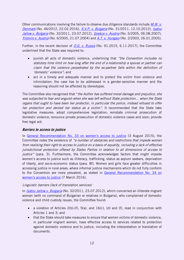Other communications involving the failure to observe due diligence standards include  $M.W.$   $V.$ [Denmark](http://juris.ohchr.org/Search/Details/2098) (No. 46/2012, 22.02.2016), [S.V.P. v. Bulgaria](http://juris.ohchr.org/Search/Details/1693) (No. 31/2011, 12.10.2012), Isatou Jallow [v. Bulgaria](http://juris.ohchr.org/Search/Details/1692) (No. 32/2011, 23.07.2012), Goekce [v. Austria](http://juris.ohchr.org/Search/Details/1715) (No. 5/2005, 06.08.2007), Yildirim [v. Austria](http://juris.ohchr.org/Search/Details/1711) (No. 6/2005, 21.07.2004) and A.T. [v. Hungary](http://juris.ohchr.org/Search/Details/1722) (No. 2/2003, 26.01.2005).

Further, in the recent decision of O.G. [v. Russia](https://tbinternet.ohchr.org/_layouts/treatybodyexternal/Download.aspx?symbolno=CEDAW%2fC%2f68%2fD%2f91%2f2015&Lang=en) (No. 91.2015, 6.11.2017), the Committee underlined that the State was required to:

- punish all acts of domestic violence, underlining that "the Convention includes no statutory time limit on how long after the end of a relationship a spouse or partner can claim that the violence perpetrated by the ex-partner falls within the definition of 'domestic' violence"; and
- act in a timely and adequate manner and to protect the victim from violence and intimidation; the case has to be addressed in a gender-sensitive manner and the reasoning should not be affected by stereotypes.

The Committee also recognised that "*the Author has suffered moral damage and prejudice, she* was subjected to fear and anguish when she was left without State protection… when the State organs that ought to have been her protector, in particular the police, instead refused to offer her protection and denied her status as a victim". It recommended that the State take legislative measures: adopt comprehensive legislation; reinstate criminal prosecution of domestic violence; renounce private prosecution of domestic violence cases and soon; provide free legal aid.

#### <span id="page-11-0"></span>**Barriers to access to justice**

In [General Recommendation No.](https://tbinternet.ohchr.org/Treaties/CEDAW/Shared%20Documents/1_Global/CEDAW_C_GC_33_7767_E.pdf) 33 on women's access to justice (3 August 2015), the Committee notes the existence of "a number of obstacles and restrictions that impede women from realising their right to access to justice on a basis of equality, including a lack of effective jurisdictional protection offered by States Parties in relation to all dimensions of access to justice" (para. 3). Furthermore, the Committee acknowledges factors that might impede women's access to justice such as illiteracy, trafficking, status as asylum seekers, deprivation of liberty, and socio-economic status (para. 8f). Women and girls face greater difficulties in accessing justice in rural areas, where informal justice mechanisms which do not fully conform to the Convention are more prevalent, as stated in [General Recommendation No. 34](https://tbinternet.ohchr.org/_layouts/treatybodyexternal/Download.aspx?symbolno=CEDAW/C/GC/34&Lang=en) on [women's access to justice](https://tbinternet.ohchr.org/_layouts/treatybodyexternal/Download.aspx?symbolno=CEDAW/C/GC/34&Lang=en) (7 March 2016).

#### Linguistic barriers (lack of translation services)

In *[Isatou Jallow v. Bulgaria](http://juris.ohchr.org/Search/Details/1692)* (No. 32/2011, 23.07.2012), which concerned an illiterate migrant woman (with no command of Bulgarian or relatives in Bulgaria), who complained of domestic violence and child custody issues, the Committee found:

- a violation of Articles 2(b)-(f), 5(a), and 16(c), (d) and (f), read in conjunction with Articles 1 and 3; and
- that the State should take measures to ensure that women victims of domestic violence, in particular migrant women, have effective access to services related to protection against domestic violence and to justice, including the interpretation or translation of documents.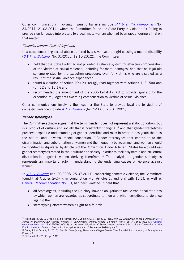Other communications involving linguistic barriers include  $R.P.B$  v. the Philippines (No. 34/2011, 21.02.2014), where the Committee found the State Party in violation for failing to provide sign language interpreters to a deaf-mute woman who had been raped, during a trial on that matter.

#### Financial barriers (lack of legal aid)

In a case concerning sexual abuse suffered by a seven-year-old girl causing a mental disability ([S.V.P. v. Bulgaria](http://juris.ohchr.org/Search/Details/1693) (No. 31/2011, 12.10.2012)), the Committee:

- held that the State Party had not provided a reliable system for effective compensation of the victims of sexual violence, including for moral damages, and that no legal aid scheme existed for the execution procedure, even for victims who are disabled as a result of the sexual violence experienced;
- found a violation of Article 2(a)-(c), (e)-(g), read together with Articles 1, 3, 5(a) and (b), 12 and 15(1); and
- recommended the amendment of the 2006 Legal Aid Act to provide legal aid for the execution of judgments awarding compensation to victims of sexual violence.

Other communications involving the need for the State to provide legal aid to victims of domestic violence include  $A.T. v.$  Hungary (No. 2/2003, 26.01.2005).

#### <span id="page-12-0"></span>**Gender stereotypes**

The Committee acknowledges that the term 'gender' does not represent a static condition, but is a product of culture and society that is constantly changing,  $11$  and that gender stereotypes preserve a specific understanding of gender identities and roles in order to designate them as the natural and universal model conception.<sup>[12](#page-12-2)</sup> Gender stereotypes that contribute to the discrimination and subordination of women and the inequality between men and women should be modified as stipulated by Article 5 of the Convention. Under Article 5, States have to address gender stereotypes rooted in their culture and society in order to tackle systemic and structural discrimination against women deriving therefrom.  $13$  The analysis of gender stereotypes represents an important factor in understanding the underlying causes of violence against women.

In  $V.K. v. Bulgaria$  (No. 20/2008, 25.07.2011), concerning domestic violence, the Committee found that Articles 2(c)-(f), in conjunction with Articles 1, and 5(a) with 16(1), as well as [General Recommendation No. 19,](http://tbinternet.ohchr.org/_layouts/treatybodyexternal/Download.aspx?symbolno=INT/CEDAW/GEC/3731&Lang=en) had been violated. It held that:

- all State organs, including the judiciary, have an obligation to tackle traditional attitudes by which women are regarded as subordinate to men and which contribute to violence against them;
- stereotyping affects women's right to a fair trial;

<span id="page-12-1"></span><sup>11</sup> Holtmaat, R. (2012). Article 5, in Freeman, M.A., Chinkin, C. & Rudolf, B. (eds). The UN Convention on the Elimination of All Forms of Discrimination Against Women: A Commentary. Oxford, Oxford University Press, pp.141-168, pp.147f; General [recommendation No.28](https://tbinternet.ohchr.org/_layouts/treatybodyexternal/Download.aspx?symbolno=CEDAW/C/GC/28&Lang=en) (CEDAW/C/GC/28) on the core obligations of States parties under Article 2 of the Convention on the Elimination of All Forms of Discrimination against Women (16 December 2010), para.5.

<span id="page-12-2"></span><sup>&</sup>lt;sup>12</sup> Cook, R.J. & Cusack, S. (2010). Gender Stereotyping; Transnational Legal Perspectives. Philadelphia, University of Pennsylvania Press, p.9

<sup>13</sup> Holtmaat, R. (2012) pp.163ff.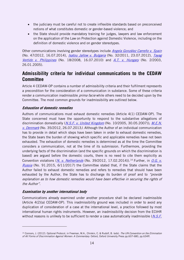- the judiciary must be careful not to create inflexible standards based on preconceived notions of what constitutes domestic or gender-based violence; and
- the State should provide mandatory training for judges, lawyers and law enforcement on the application of the Law on Protection against Domestic Violence, including on the definition of domestic violence and on gender stereotypes.

Other communications involving gender stereotypes include *[Angela González Carreño v. Spain](http://juris.ohchr.org/Search/Details/1878)* (No. 47/2012, 16.07.2014), *[Isatou Jallow v. Bulgaria](http://juris.ohchr.org/Search/Details/1692)* (No. 32/2011, 23.07.2012), *[Tayag](http://juris.ohchr.org/Search/Details/1700)* Vertido [v. Philippines](http://juris.ohchr.org/Search/Details/1700) (No. 18/2008, 16.07.2010) and A.T. [v. Hungary](http://juris.ohchr.org/Search/Details/1722) (No. 2/2003, 26.01.2005).

## <span id="page-13-0"></span>**Admissibility criteria for individual communications to the CEDAW Committee**

Article 4 CEDAW-OP contains a number of admissibility criteria and their fulfilment represents a precondition for the consideration of a communication in substance. Some of these criteria render a communication inadmissible *prima facie* while others need to be decided upon by the Committee. The most common grounds for inadmissibility are outlined below.

#### <span id="page-13-1"></span>**Exhaustion of domestic remedies**

Authors of communications must exhaust domestic remedies (Article 4(1) CEDAW-OP). The State concerned must have the opportunity to respond to the substantive allegations of discrimination domestically (*N.S.F. [v. United Kingdom](http://juris.ohchr.org/Search/Details/1714)* (No. 10/2005, 30.05.2007)); [M.E.N.](http://juris.ohchr.org/Search/Details/1696) [v. Denmark](http://juris.ohchr.org/Search/Details/1696) (No. 35/2012, 26.07.2013). Although the Author of an individual communication has to provide in detail which steps have been taken in order to exhaust domestic remedies, the State bears the burden of showing which specific and applicable remedies have not been exhausted. The exhaustion of domestic remedies is determined as at the time the Committee considers a communication, not at the time of its submission. Furthermore, providing the underlying facts of the discrimination (and the specific grounds on which the discrimination is based) are argued before the domestic courts, there is no need to cite them explicitly as Convention violations (*N. [v. Netherlands](http://juris.ohchr.org/Search/Details/1877)* (No. 39/2012, 17.02.20[14](#page-13-4))).<sup>14</sup> Further, in *O.G. v.* [Russia](https://tbinternet.ohchr.org/_layouts/treatybodyexternal/Download.aspx?symbolno=CEDAW%2fC%2f68%2fD%2f91%2f2015&Lang=en) (No. 91.2015, 6/11/2017) the Committee stated that, if the State claims that the Author failed to exhaust domestic remedies and refers to remedies that should have been exhausted by the Author, the State has to discharge its burden of proof and to "provide" explanation as to how domestic remedies would have been effective in securing the rights of the Author".

#### <span id="page-13-2"></span>**Examination by another international body**

-

Communications already examined under another procedure shall be declared inadmissible (Article 4(2)(a) CEDAW-OP). This inadmissibility ground was included in order to avoid any duplication of consideration of a case at the international level, a practice followed by most international human rights instruments. However, an inadmissibility decision from the ECtHR without reasons is unlikely to be sufficient to render a case automatically inadmissible  $(N.S.F.$ 

<span id="page-13-4"></span><span id="page-13-3"></span><sup>&</sup>lt;sup>14</sup> Connors, J. (2012). Optional Protocol, in Freeman, M.A., Chinkin, C. & Rudolf, B. (eds). The UN Convention on the Elimination of All Forms of Discrimination Against Women: A Commentary. Oxford, Oxford University Press pp.607-680, pp.634ff.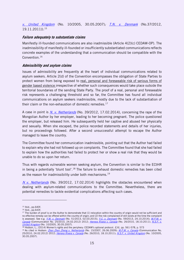[v. United Kingdom](http://juris.ohchr.org/Search/Details/1714) (No. 10/2005, 30.05.2007); T.N. [v. Denmark](http://juris.ohchr.org/Search/Details/1880) (No.37/2012, 19.11.2011)). [15](#page-14-2)

#### <span id="page-14-0"></span>**Failure adequately to substantiate claims**

Manifestly ill-founded communications are also inadmissible (Article 4(2)(c) CEDAW-OP). The inadmissibility of manifestly ill-founded or insufficiently substantiated communications reflects concrete examples of the understanding that a communication should be compatible with the Convention. [16](#page-14-3)

#### <span id="page-14-1"></span>**Admissibility and asylum claims**

Issues of admissibility are frequently at the heart of individual communications related to asylum seekers. Article 2(d) of the Convention encompasses the obligation of State Parties to protect women from being exposed to real, personal and foreseeable risk of serious forms of gender based violence irrespective of whether such consequences would take place outside the territorial boundaries of the sending State Party. The proof of a real, personal and foreseeable risk represents a challenging threshold and so far, the Committee has found all individual communications on asylum seekers inadmissible, mostly due to the lack of substantiation of their claim or the non-exhaustion of domestic remedies.<sup>[17](#page-14-4)</sup>

A case in point is *N. [v. Netherlands](http://juris.ohchr.org/Search/Details/1877)* (No. 39/2012, 17.02.2014), concerning the rape of the Mongolian Author by her employer, leading to her becoming pregnant. The police questioned the employer, but released him. He subsequently held her captive and abused her physically and sexually. When she escaped, the police recorded statements and details of her injuries, but no proceedings followed. After a second unsuccessful attempt to escape the Author managed to leave the country.

The Committee found her communication inadmissible, pointing out that the Author had failed to explain why she had not followed up on complaints. The Committee found that she had failed to explain how the authorities had failed to protect her or show a real risk that they would be unable to do so upon her return.

Thus with regards vulnerable women seeking asylum, the Convention is similar to the ECtHR in being a potentially 'blunt tool'.<sup>[18](#page-15-5)</sup> The failure to exhaust domestic remedies has been cited as the reason for inadmissibility under both mechanisms.<sup>19</sup>

N [v. Netherlands](http://juris.ohchr.org/Search/Details/1877) (No. 39/2012, 17.02.2014) highlights the obstacles encountered when dealing with asylum-related communications to the Committee. Nevertheless, there are potential remedies to tackle evidential complications affecting such cases.

<sup>15</sup> Ibid., pp.640f.

<sup>16</sup> Ibid., pp.643f.

<span id="page-14-2"></span><sup>&</sup>lt;sup>17</sup> The burden of proof is on the Author to demonstrate that (1) relocation within the country of origin would not be sufficient and no effective remedy can be offered within the country of origin; and (2) the risk complained of still exists at the time the complaint is assessed. See e.g. [Y.W. v. Denmark](http://juris.ohchr.org/Search/Details/2052) (No. 51/2013, 02.03.2015); [Y.C. v. Denmark](http://juris.ohchr.org/Search/Details/1882) (No. 59/2013, 24.10.2014); M.P.M. v. [Canada](http://juris.ohchr.org/Search/Details/1705) (Communication No. 25/2010, 24.02.2012) 2012; [Herrera Rivera v. Canada](http://juris.ohchr.org/Search/Details/1706) (No. 26/2010, 18.10.2011); N.S.F. v. [United Kingdom](http://juris.ohchr.org/Search/Details/1714) (No. 10/2005, 30.05.2007).

<span id="page-14-4"></span><span id="page-14-3"></span><sup>18</sup> Hodson, L., (2014) Women's rights and the periphery: CEDAW's optional protocol. EJIL. pp. 561-578, p. 573

<sup>&</sup>lt;sup>19</sup> As cited in Hodson: *[Zhen Zhen Zheng v. Netherlands](http://juris.ohchr.org/Search/Details/1708)* (No. 15/2007, 26.06.2009); *[M.P.M. v. Canada](http://juris.ohchr.org/Search/Details/1705)* (Communication No. 25/2010, 24.02.2012) 2012; [Herrera Rivera v. Canada](http://juris.ohchr.org/Search/Details/1706) (No. 26/2010, 18.10.2011); [N.S.F. v. United Kingdom](http://juris.ohchr.org/Search/Details/1714) (No. 10/2005, 30.05.2007).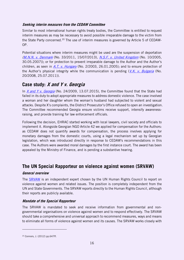#### <span id="page-15-0"></span>**Seeking interim measures from the CEDAW Committee**

Similar to most international human rights treaty bodies, the Committee is entitled to request interim measures as may be necessary to avoid possible irreparable damage to the victim from the State Party concerned.<sup>[20](#page-15-7)</sup> The use of interim measures is governed by Article 5 of CEDAW-OP.

Potential situations where interim measures might be used are the suspension of deportation (M.N.N. [v. Denmark](http://juris.ohchr.org/Search/Details/1695) (No. 33/2011, 15/07/2013), [N.S.F. v. United Kingdom](http://juris.ohchr.org/Search/Details/1714) (No. 10/2005, 30.05.2007)); or for protection to prevent irreparable damage to the Author and the Author's children, as seen in A.T. [v. Hungary](http://juris.ohchr.org/Search/Details/1722) (No. 2/2003, 26.01.2005); and to ensure protection of the Author's physical integrity while the communication is pending  $(V,K, v, Bulgaria$  (No. 20/2008, 25.07.2011)).

## <span id="page-15-1"></span>**Case study: X and Y v. Georgia**

In  $X$  and Y [v. Georgia](http://juris.ohchr.org/Search/Details/2051) (No. 24/2009, 13.07.2015), the Committee found that the State had failed in its duty to adopt appropriate measures to address domestic violence. The case involved a woman and her daughter whom the woman's husband had subjected to violent and sexual attacks. Despite X's complaints, the District Prosecutor's Office refused to open an investigation. The Committee recommended Georgia ensure victims receive support, intensify awarenessraising, and provide training for law enforcement officials.

Following the decision, EHRAC started working with local lawyers, civil society and officials to implement it. Alongside Georgian NGO Article 42 we applied for compensation for the Authors: as CEDAW does not quantify awards for compensation, the process involves applying for monetary damages from the domestic courts, using a legal mechanism set up by Georgian legislation, which was introduced directly in response to CEDAW's recommendations in this case. The Authors were awarded moral damages by the first instance court. The award has been appealed by the Ministry of Finance, and is pending a substantive hearing.

## <span id="page-15-2"></span>**The UN Special Rapporteur on violence against women (SRVAW)**

#### <span id="page-15-3"></span>**General overview**

The [SRVAW](https://www.ohchr.org/en/issues/women/srwomen/pages/srwomenindex.aspx) is an independent expert chosen by the UN Human Rights Council to report on violence against women and related issues. The position is completely independent from the UN and State Governments. The SRVAW reports directly to the Human Rights Council, although their reports are publicly available.

#### <span id="page-15-4"></span>**Mandate of the Special Rapporteur**

The SRVAW is mandated to seek and receive information from governmental and nongovernmental organisations on violence against women and to respond effectively. The SRVAW should take a comprehensive and universal approach to recommend measures, ways and means to eliminate all forms of violence against women and its causes. The SRVAW works closely with

<span id="page-15-7"></span><span id="page-15-6"></span><span id="page-15-5"></span><sup>20</sup> Connors, J. (2012) pp.647ff.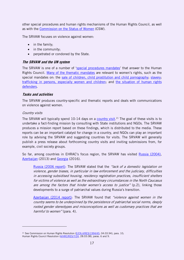other special procedures and human rights mechanisms of the Human Rights Council, as well as with the [Commission on the Status of Women](http://www.unwomen.org/en/csw) (CSW).

The SRVAW focuses on violence against women:

- in the family;
- in the community;
- perpetrated or condoned by the State.

#### <span id="page-16-0"></span>**The SRVAW and the UN system**

The SRVAW is one of a number of ['special procedures mandates'](https://spinternet.ohchr.org/_Layouts/SpecialProceduresInternet/ViewAllCountryMandates.aspx?Type=TM) that answer to the Human Rights Council. [Many of the thematic mandates](https://spinternet.ohchr.org/_Layouts/SpecialProceduresInternet/ViewAllCountryMandates.aspx?Type=TM) are relevant to women's rights, such as the special mandates on: the [sale of children, child prostitution and child pornography;](http://www.ohchr.org/EN/Issues/Children/Pages/ChildrenIndex.aspx) [slavery;](http://www.ohchr.org/EN/Issues/Slavery/SRSlavery/Pages/SRSlaveryIndex.aspx) [trafficking in persons, especially women and children;](http://www.ohchr.org/EN/Issues/Trafficking/Pages/TraffickingIndex.aspx) and the situation of human rights [defenders.](http://www.ohchr.org/EN/Issues/SRHRDefenders/Pages/SRHRDefendersIndex.aspx)

#### <span id="page-16-1"></span>**Tasks and activities**

The SRVAW produces country-specific and thematic reports and deals with communications on violence against women.

#### Country visits

-

The SRVAW will typically spend 10-14 days on a *country visit*.<sup>[21](#page-16-2)</sup> The goal of these visits is to undertake a fact-finding mission by consulting with State institutions and NGOs. The SRVAW produces a mission report based on these findings, which is distributed to the media. These reports can be an important catalyst for change in a country, and NGOs can play an important role by advising the SRVAW and suggesting countries for visits. The SRVAW will generally publish a press release about forthcoming country visits and inviting submissions from, for example, civil society groups.

So far, among countries in EHRAC's focus region, the SRVAW has visited Russia [\(2004\),](https://documents-dds-ny.un.org/doc/UNDOC/GEN/G06/104/47/PDF/G0610447.pdf) [Azerbaijan](https://www.ohchr.org/Documents/Issues/Women/A.HRC.26.38.Add.3.pdf) (2013) and [Georgia](https://www.ohchr.org/Documents/Issues/Women/SR/A.HRC.32.42.Add.3.pdf) (2016).

Russia [\(2006 report\):](https://documents-dds-ny.un.org/doc/UNDOC/GEN/G06/104/47/PDF/G0610447.pdf) The SRVAW stated that the "lack of a domestic legislation on violence, gender biases, in particular in law enforcement and the judiciary, difficulties in accessing subsidised housing, residency registration practices, insufficient shelters for victims of violence as well as the extraordinary circumstances in the North Caucasus are among the factors that hinder women's access to justice"  $(p.2)$ , linking those developments to a surge of patriarchal values during Russia's transition.

[Azerbaijan \(2014](https://www.ohchr.org/Documents/Issues/Women/A.HRC.26.38.Add.3.pdf) report): The SRVAW found that "violence against women in the country seems to be underpinned by the persistence of patriarchal social norms, deeply rooted gender stereotypes and misconceptions as well as customary practices that are harmful to women" (para. 4).

<span id="page-16-2"></span><sup>&</sup>lt;sup>21</sup> See Commission on Human Rights Resolution ( $E/CN.4/RES/1994/45$ , 04.03.94), para. 10; Human Rights Council Resolution [\(A/HRC/RES/7/24,](http://ap.ohchr.org/documents/E/HRC/resolutions/A_HRC_RES_7_24.pdf) 28.03.08), paras. 6 and 9.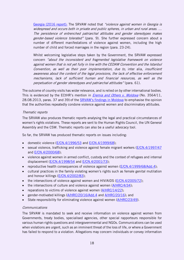[Georgia \(2016](https://www.ohchr.org/Documents/Issues/Women/SR/A.HRC.32.42.Add.3.pdf) report): The SRVAW noted that "violence against women in Georgia is widespread and occurs both in private and public spheres, in urban and rural areas. … The persistence of entrenched patriarchal attitudes and gender stereotypes makes gender-based violence tolerated" (para. 9). She further expressed concern about a number of different manifestations of violence against women, including the high number of child and forced marriages in the region (para. 23-24).

Whilst welcoming legislative steps taken by the Government, the SRVAW expressed concern "about the inconsistent and fragmented legislative framework on violence against women that is not yet fully in line with the CEDAW Convention and the Istanbul Convention, as well as their poor implementation, due to, inter alia, insufficient awareness about the content of the legal provisions, the lack of effective enforcement mechanisms, lack of sufficient human and financial resources, as well as the perpetuation of gender stereotypes and patriarchal attitudes" (para. 61).

The outcome of country visits has wider relevance, and is relied on by other international bodies. This is evidenced by the ECtHR's mention in *[Eremia and Others](http://hudoc.echr.coe.int/eng?i=001-119968) v. Moldova* (No. 3564/11, 28.08.2013, paras. 37 and 39) of the [SRVAW's findings in Moldova](https://documents-dds-ny.un.org/doc/UNDOC/GEN/G09/131/24/PDF/G0913124.pdf?OpenElement) to emphasise the opinion that the authorities repeatedly condone violence against women and discriminatory attitudes.

#### <span id="page-17-0"></span>Thematic reports

The SRVAW also produces thematic reports analysing the legal and practical circumstances of women's rights violations. These reports are sent to the Human Rights Council, the UN General Assembly and the CSW. Thematic reports can also be a useful advocacy tool.

So far, the SRVAW has produced thematic reports on issues including:

- domestic violence  $(E/CN.4/1996/53)$  $(E/CN.4/1996/53)$  and  $E/CN.4/1999/68$ ):
- sexual violence, trafficking and violence against female migrant workers ( $E/CN.4/1997/47$ and [E/CN.4/2000/68\)](https://documents-dds-ny.un.org/doc/UNDOC/GEN/G00/113/34/PDF/G0011334.pdf);
- violence against women in armed conflict, custody and the context of refugees and internal displacement [\(E/CN.4/1998/54](https://documents-dds-ny.un.org/doc/UNDOC/GEN/G98/102/91/PDF/G9810291.pdf) and [E/CN.4/2001/73\)](https://documents-dds-ny.un.org/doc/UNDOC/GEN/G01/104/44/PDF/G0110444.pdf);
- reproductive health consequences of violence against women  $(E/CN.4/1999/68/Add.4)$ ;
- cultural practices in the family violating women's rights such as female genital mutilation and honour killings [\(E/CN.4/2002/83\)](https://documents-dds-ny.un.org/doc/UNDOC/GEN/G02/104/28/PDF/G0210428.pdf);
- the intersections of violence against women and HIV/AIDS [\(E/CN.4/2005/72\)](https://documents-dds-ny.un.org/doc/UNDOC/GEN/G05/102/11/PDF/G0510211.pdf);
- the intersections of culture and violence against women  $(A/HRC/4/34)$ ;
- reparations to victims of violence against women  $(A/HRC/14/22)$ ;
- gender-motivated killings [\(A/HRC/20/16/Add.4](https://www.ohchr.org/Documents/HRBodies/HRCouncil/RegularSession/Session20/A-HRC-20-16-Add4_en.pdf) and [A/HRC/20/16\)](https://www.ohchr.org/Documents/HRBodies/HRCouncil/RegularSession/Session20/A.HRC.20.16_En.PDF); and
- State responsibility for eliminating violence against women ( $A/HRC/23/49$ ).

#### Communications

The SRVAW is mandated to seek and receive information on violence against women from Governments, treaty bodies, specialised agencies, other special rapporteurs responsible for various human rights questions and intergovernmental and NGOs. Communications can be used when violations are urgent, such as an imminent threat of the loss of life, or where a Government has failed to respond to a violation. Allegations may concern individuals or convey information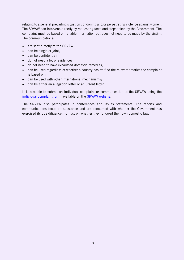relating to a general prevailing situation condoning and/or perpetrating violence against women. The SRVAW can intervene directly by requesting facts and steps taken by the Government. The complaint must be based on reliable information but does not need to be made by the victim. The communications:

- are sent directly to the SRVAW;
- can be single or joint;
- can be confidential;
- do not need a lot of evidence;
- do not need to have exhausted domestic remedies;
- can be used regardless of whether a country has ratified the relevant treaties the complaint is based on;
- can be used with other international mechanisms;
- can be either an allegation letter or an urgent letter.

It is possible to submit an individual complaint or communication to the SRVAW using the [individual complaint form,](https://www.ohchr.org/EN/Issues/Women/SRWomen/Pages/Complaints.aspx) available on the **SRVAW** website.

<span id="page-18-0"></span>The SRVAW also participates in conferences and issues statements. The reports and communications focus on substance and are concerned with whether the Government has exercised its due diligence, not just on whether they followed their own domestic law.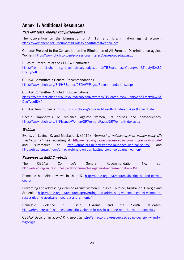## **Annex 1: Additional Resources**

#### <span id="page-19-0"></span>**Relevant texts, reports and jurisprudence**

The Convention on the Elimination of All Forms of Discrimination against Women: <https://www.ohchr.org/Documents/ProfessionalInterest/cedaw.pdf>

Optional Protocol to the Convention on the Elimination of All Forms of Discrimination against Women: <https://www.ohchr.org/en/professionalinterest/pages/opcedaw.aspx>

Rules of Procedure of the CEDAW Committee:

[https://tbinternet.ohchr.org/\\_layouts/treatybodyexternal/TBSearch.aspx?Lang=en&TreatyID=3&](https://tbinternet.ohchr.org/_layouts/treatybodyexternal/TBSearch.aspx?Lang=en&TreatyID=3&DocTypeID=65) [DocTypeID=65](https://tbinternet.ohchr.org/_layouts/treatybodyexternal/TBSearch.aspx?Lang=en&TreatyID=3&DocTypeID=65)

CEDAW Committee's General Recommendations: <https://www.ohchr.org/EN/HRBodies/CEDAW/Pages/Recommendations.aspx>

CEDAW Committee Concluding Observations: [https://tbinternet.ohchr.org/\\_layouts/treatybodyexternal/TBSearch.aspx?Lang=en&TreatyID=3&](https://tbinternet.ohchr.org/_layouts/treatybodyexternal/TBSearch.aspx?Lang=en&TreatyID=3&DocTypeID=5) [DocTypeID=5](https://tbinternet.ohchr.org/_layouts/treatybodyexternal/TBSearch.aspx?Lang=en&TreatyID=3&DocTypeID=5)

CEDAW Jurisprudence: <http://juris.ohchr.org/en/search/results?Bodies=3&sortOrder=Date>

Special Rapporteur on violence against women, its causes and consequences: <https://www.ohchr.org/EN/Issues/Women/SRWomen/Pages/SRWomenIndex.aspx>

#### <span id="page-19-1"></span>**Webinar**

Evans, J., Levine, K. and MacLeod, J. (2015) "Addressing violence against women using UN mechanisms", see recording at:<http://ehrac.org.uk/resources/cedaw-committee-srvaw-guide/> and summaries at: <http://ehrac.org.uk/news/ehrac-launches-webinar-series/> and <http://ehrac.org.uk/news/ehrac-webinars-on-combatting-violence-against-women/>

#### <span id="page-19-2"></span>**Resources on EHRAC website**

The CEDAW Committee's General Recommendation No. 35: <http://ehrac.org.uk/resources/cedaw-committees-general-recommendation-35/>

Domestic homicide reviews in the UK: [http://ehrac.org.uk/resources/looking-behind-closed](http://ehrac.org.uk/resources/looking-behind-closed-doors/)[doors/](http://ehrac.org.uk/resources/looking-behind-closed-doors/)

Preventing and addressing violence against women in Russia, Ukraine, Azerbaijan, Georgia and Armenia: [http://ehrac.org.uk/resources/preventing-and-addressing-violence-against-women-in](http://ehrac.org.uk/resources/preventing-and-addressing-violence-against-women-in-russia-ukraine-azerbaijan-georgia-and-armenia/)[russia-ukraine-azerbaijan-georgia-and-armenia/](http://ehrac.org.uk/resources/preventing-and-addressing-violence-against-women-in-russia-ukraine-azerbaijan-georgia-and-armenia/)

Domestic violence in Russia, Ukraine and the South Caucasus: <http://ehrac.org.uk/resources/domestic-violence-in-russia-ukraine-and-the-south-caucasus/>

CEDAW Decision in X. and Y. v. Georgia: [http://ehrac.org.uk/resources/cedaw-decision-x-and-y](http://ehrac.org.uk/resources/cedaw-decision-x-and-y-v-georgia/)[v-georgia/](http://ehrac.org.uk/resources/cedaw-decision-x-and-y-v-georgia/)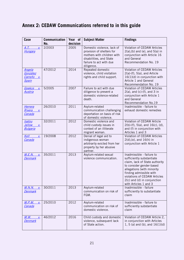## <span id="page-20-0"></span>**Annex 2: CEDAW Communications referred to in this guide**

| Case                                                      | <b>Communication</b><br>No. | Year of<br>decision | <b>Subject Matter</b>                                                                                                                                     | <b>Findings</b>                                                                                                                                                                                                                                                         |
|-----------------------------------------------------------|-----------------------------|---------------------|-----------------------------------------------------------------------------------------------------------------------------------------------------------|-------------------------------------------------------------------------------------------------------------------------------------------------------------------------------------------------------------------------------------------------------------------------|
| A.T.<br>V.<br><b>Hungary</b>                              | 2/2003                      | 2005                | Domestic violence, lack of<br>provision of shelters for<br>mothers with children with<br>disabilities, and State<br>failure to act with due<br>diligence. | Violation of CEDAW Articles<br>$2(a)$ , (b) and (e), and $5(a)$ in<br>conjunction with Article 16<br>and General<br>Recommendation No. 19                                                                                                                               |
| <b>Angela</b><br>González<br>Carreño v.<br>Spain          | 47/2012                     | 2014                | Repeated domestic<br>violence, child visitation<br>rights and child support.                                                                              | Violation of CEDAW Articles<br>$2(a)-(f)$ , $5(a)$ , and Article<br>16(1)(d) in conjunction with<br>Article 1 and General<br>Recommendation No. 19                                                                                                                      |
| Goekce<br>V.<br><u>Austria</u>                            | 5/2005                      | 2007                | Failure to act with due<br>diligence to prevent a<br>domestic violence-related<br>death.                                                                  | Violation of CEDAW Articles<br>$2(a)$ , and (c)-(f), and $3$ in<br>conjunction with Article 1<br>and General<br>Recommendation No.19                                                                                                                                    |
| Herrera<br>Rivera<br>$V_{\rm c}$<br>Canada                | 26/2010                     | 2011                | Asylum-related<br>communication challenging<br>deportation on basis of risk<br>of domestic violence.                                                      | Inadmissible - failure to<br>exhaust domestic remedies                                                                                                                                                                                                                  |
| <b>Isatou</b><br>Jallow<br>$V_{\star}$<br><b>Bulgaria</b> | 32/2011                     | 2012                | Domestic violence and<br>child custody issues in<br>context of an illiterate<br>migrant woman.                                                            | Violation of CEDAW Article<br>$2(b)-(f), 5(a), and 16(c), (d),$<br>and (f) in conjunction with<br>Articles 1 and 3                                                                                                                                                      |
| Kell<br>$V_{\star}$<br>Canada                             | 19/2008                     | 2012                | Denial of legal aid to<br>indigenous woman<br>arbitrarily evicted from her<br>property by her abusive<br>partner.                                         | Violation of CEDAW Articles<br>$2(d),(e)$ , and $16(h)$ in<br>conjunction with Article 1                                                                                                                                                                                |
| M.E.N.<br>$V_{\star}$<br><u>Denmark</u>                   | 35/2011                     | 2013                | Asylum-related sexual<br>violence communication.                                                                                                          | Inadmissible - failure to<br>sufficiently substantiate<br>claim, lack of State authority<br>to consider gender-based<br>allegations (with minority<br>finding admissible with<br>violations of CEDAW Articles<br>$2(c)$ and (d) in conjunction<br>with Articles 1 and 3 |
| $M.N.N.$ v.<br><b>Denmark</b>                             | 30/2011                     | 2013                | Asylum-related<br>communication on risk of<br>FGM.                                                                                                        | Inadmissible - failure<br>sufficiently to substantiate<br>claim                                                                                                                                                                                                         |
| M.P.M.<br>V.<br>Canada                                    | 25/2010                     | 2012                | Asylum-related<br>communication on risk of<br>domestic violence.                                                                                          | Inadmissible - failure to<br>sufficiently substantiate<br>claim                                                                                                                                                                                                         |
| M.W.<br>$V_{\rm c}$<br><b>Denmark</b>                     | 46/2012                     | 2016                | Child custody and domestic<br>violence, subsequent lack<br>of State action.                                                                               | Violation of CEDAW Article 2,<br>in conjunction with Articles<br>1, 5 (a) and (b), and $16(1)(d)$                                                                                                                                                                       |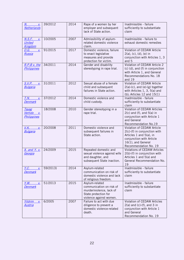| $N_{\rm c}$ and $N_{\rm c}$<br>V.<br>Netherlands             | 39/2012  | 2014 | Rape of a women by her<br>employer and subsequent<br>lack of State action.                                                | Inadmissible - failure<br>sufficiently to substantiate<br>claim                                                                                                  |
|--------------------------------------------------------------|----------|------|---------------------------------------------------------------------------------------------------------------------------|------------------------------------------------------------------------------------------------------------------------------------------------------------------|
| <u>N.S.F.</u><br>$\underline{V}$<br>United<br><b>Kingdom</b> | 10/2005  | 2007 | Admissibility of asylum-<br>related domestic violence<br>claim.                                                           | Inadmissible - failure to<br>exhaust domestic remedies                                                                                                           |
| $V_{\star}$<br><u>O.G. _</u><br>Russia                       | 91/2015  | 2017 | Domestic violence; failure<br>to enact legislative<br>measures and provide<br>protection for victim.                      | Violation of CEDAW Article<br>2(a), (c), (d), (e) in<br>conjunction with Articles 1, 3<br>and 5                                                                  |
| R.P.B v. the<br>Philippines                                  | 34/2011  | 2014 | Gender and disability<br>stereotyping in rape trial.                                                                      | Violation of CEDAW Article 2<br>(c) (d), and (f) in conjunction<br>with Article 1, and General<br>Recommendations No. 18<br>and 19                               |
| <u>S.V.P.</u><br>V.<br><b>Bulgaria</b>                       | 31/2011  | 2012 | Sexual abuse of a female<br>child and subsequent<br>failures in State action.                                             | Violation of CEDAW Article<br>$2(a)-(c)$ , and $(e)-(g)$ together<br>with Articles 1, 3, 5(a) and<br>(b); Articles $12$ and $15(1)$                              |
| T.N.<br>$V_{\star}$<br><b>Denmark</b>                        | 37/2012  | 2014 | Domestic violence and<br>child custody.                                                                                   | Inadmissible - failure<br>sufficiently to substantiate<br>claim                                                                                                  |
| <u>Tayag</u><br>Vertido<br>V.<br><b>Philippines</b>          | 18/2008  | 2010 | Gender stereotyping in a<br>rape trial.                                                                                   | Violation of CEDAW Articles<br>$2(c)$ and (f), and $5(a)$ in<br>conjunction with Article 1<br>and General<br>Recommendation No.19                                |
| V.K.<br>$\underline{V}$<br><b>Bulgaria</b>                   | 20/2008  | 2011 | Domestic violence and<br>subsequent failures in<br>State action.                                                          | Violation of CEDAW Article<br>2(c)-(f) in conjunction with<br>Articles 1 and 5(a), in<br>conjunction with Article<br>16(1), and General<br>Recommendation No. 19 |
| <u>X. and Y. v.</u><br>Georgia                               | 24/2009  | 2015 | Repeated domestic and<br>sexual violence against wife<br>and daughter, and<br>subsequent State inaction.                  | <b>Violations of CEDAW Articles</b><br>2(b)-(f) in conjunction with<br>Articles 1 and 5(a) and<br>General Recommendation No.<br>19                               |
| <u>Y.C.</u><br>$V_{\star}$<br><b>Denmark</b>                 | 59/2013) | 2014 | Asylum-related<br>communication on risk of<br>domestic violence and lack<br>of religious freedom.                         | Inadmissible - failure<br>sufficiently to substantiate<br>claim                                                                                                  |
| Y.W.<br>V.<br><b>Denmark</b>                                 | 51/2013  | 2015 | Asylum-related<br>communication on risk of<br>murder/violence, lack of<br>State protection for<br>violence against women. | Inadmissible - failure<br>sufficiently to substantiate<br>claim                                                                                                  |
| Yildrim<br>V.<br><u>Austria</u>                              | 6/2005   | 2007 | Failure to act with due<br>diligence to prevent a<br>domestic violence-related<br>death.                                  | Violation of CEDAW Articles<br>$2(a)$ and (c)-(f), and $3$ in<br>conjunction with Article 1<br>and General<br>Recommendation No. 19                              |